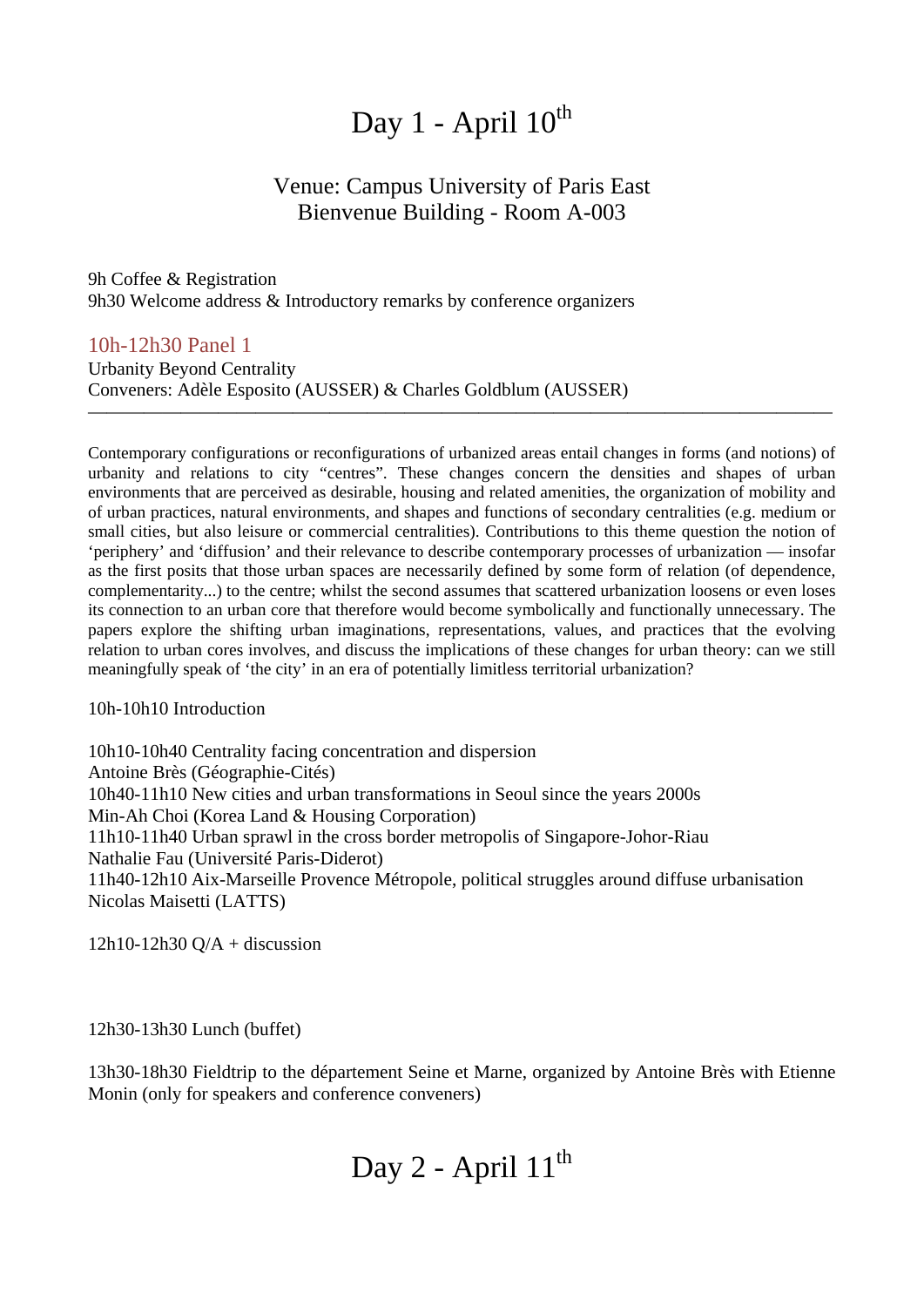# Day  $1$  - April  $10^{th}$

## Venue: Campus University of Paris East Bienvenue Building - Room A-003

9h Coffee & Registration 9h30 Welcome address & Introductory remarks by conference organizers

10h-12h30 Panel 1

Urbanity Beyond Centrality Conveners: Adèle Esposito (AUSSER) & Charles Goldblum (AUSSER)

Contemporary configurations or reconfigurations of urbanized areas entail changes in forms (and notions) of urbanity and relations to city "centres". These changes concern the densities and shapes of urban environments that are perceived as desirable, housing and related amenities, the organization of mobility and of urban practices, natural environments, and shapes and functions of secondary centralities (e.g. medium or small cities, but also leisure or commercial centralities). Contributions to this theme question the notion of 'periphery' and 'diffusion' and their relevance to describe contemporary processes of urbanization — insofar as the first posits that those urban spaces are necessarily defined by some form of relation (of dependence, complementarity...) to the centre; whilst the second assumes that scattered urbanization loosens or even loses its connection to an urban core that therefore would become symbolically and functionally unnecessary. The papers explore the shifting urban imaginations, representations, values, and practices that the evolving relation to urban cores involves, and discuss the implications of these changes for urban theory: can we still meaningfully speak of 'the city' in an era of potentially limitless territorial urbanization?

————————————————————————————————————————

10h-10h10 Introduction

10h10-10h40 Centrality facing concentration and dispersion Antoine Brès (Géographie-Cités) 10h40-11h10 New cities and urban transformations in Seoul since the years 2000s Min-Ah Choi (Korea Land & Housing Corporation) 11h10-11h40 Urban sprawl in the cross border metropolis of Singapore-Johor-Riau Nathalie Fau (Université Paris-Diderot) 11h40-12h10 Aix-Marseille Provence Métropole, political struggles around diffuse urbanisation Nicolas Maisetti (LATTS)

 $12h10-12h30$  O/A + discussion

12h30-13h30 Lunch (buffet)

13h30-18h30 Fieldtrip to the département Seine et Marne, organized by Antoine Brès with Etienne Monin (only for speakers and conference conveners)

# Day 2 - April  $11<sup>th</sup>$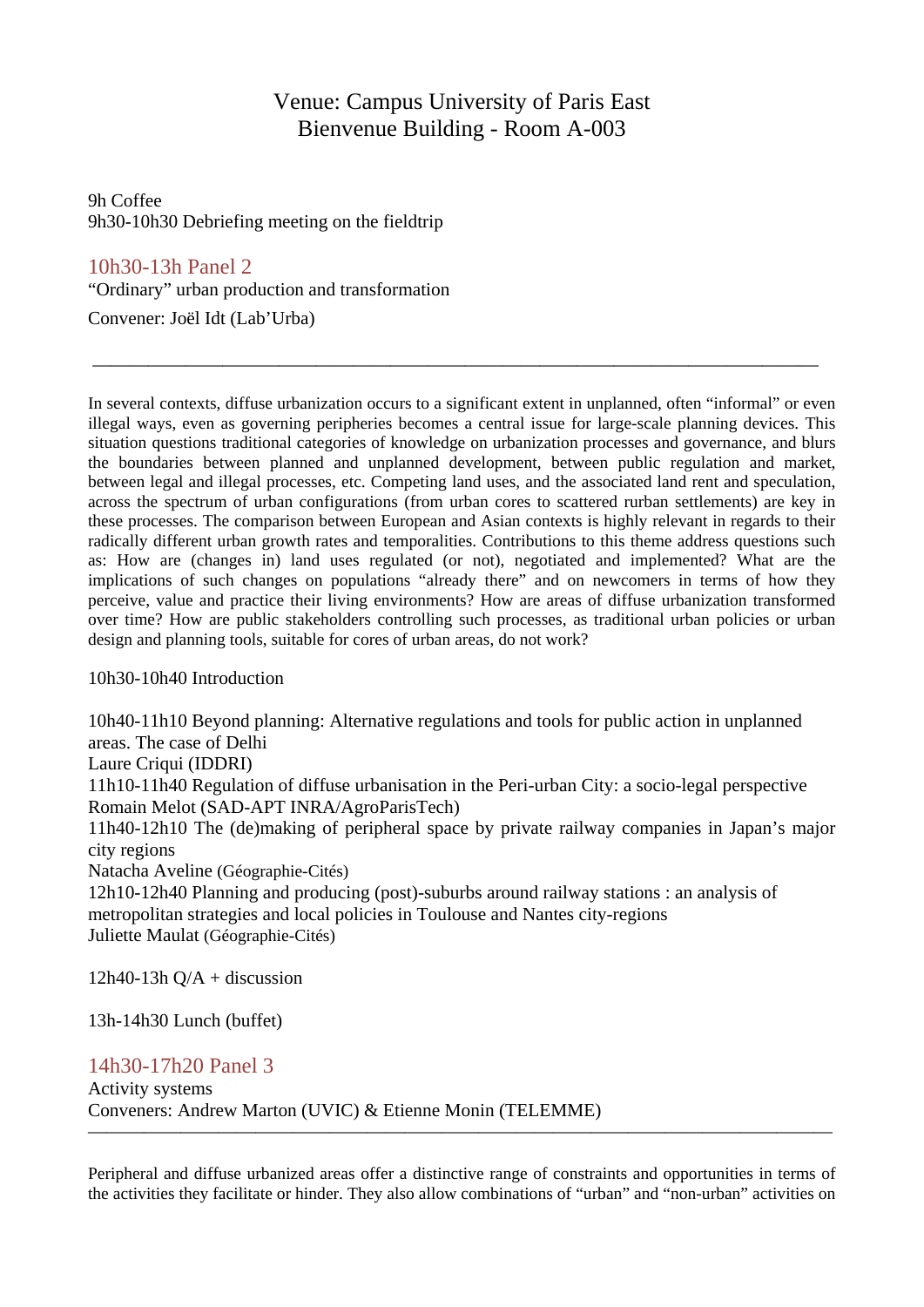## Venue: Campus University of Paris East Bienvenue Building - Room A-003

9h Coffee 9h30-10h30 Debriefing meeting on the fieldtrip

### 10h30-13h Panel 2

"Ordinary" urban production and transformation

Convener: Joël Idt (Lab'Urba)

In several contexts, diffuse urbanization occurs to a significant extent in unplanned, often "informal" or even illegal ways, even as governing peripheries becomes a central issue for large-scale planning devices. This situation questions traditional categories of knowledge on urbanization processes and governance, and blurs the boundaries between planned and unplanned development, between public regulation and market, between legal and illegal processes, etc. Competing land uses, and the associated land rent and speculation, across the spectrum of urban configurations (from urban cores to scattered rurban settlements) are key in these processes. The comparison between European and Asian contexts is highly relevant in regards to their radically different urban growth rates and temporalities. Contributions to this theme address questions such as: How are (changes in) land uses regulated (or not), negotiated and implemented? What are the implications of such changes on populations "already there" and on newcomers in terms of how they perceive, value and practice their living environments? How are areas of diffuse urbanization transformed over time? How are public stakeholders controlling such processes, as traditional urban policies or urban design and planning tools, suitable for cores of urban areas, do not work?

———————————————————————————————————————

10h30-10h40 Introduction

10h40-11h10 Beyond planning: Alternative regulations and tools for public action in unplanned areas. The case of Delhi

Laure Criqui (IDDRI)

11h10-11h40 Regulation of diffuse urbanisation in the Peri-urban City: a socio-legal perspective Romain Melot (SAD-APT INRA/AgroParisTech)

11h40-12h10 The (de)making of peripheral space by private railway companies in Japan's major city regions

Natacha Aveline (Géographie-Cités)

12h10-12h40 Planning and producing (post)-suburbs around railway stations : an analysis of metropolitan strategies and local policies in Toulouse and Nantes city-regions Juliette Maulat (Géographie-Cités)

 $12h40-13h Q/A +$  discussion

13h-14h30 Lunch (buffet)

### 14h30-17h20 Panel 3

Activity systems Conveners: Andrew Marton (UVIC) & Etienne Monin (TELEMME)

Peripheral and diffuse urbanized areas offer a distinctive range of constraints and opportunities in terms of the activities they facilitate or hinder. They also allow combinations of "urban" and "non-urban" activities on

————————————————————————————————————————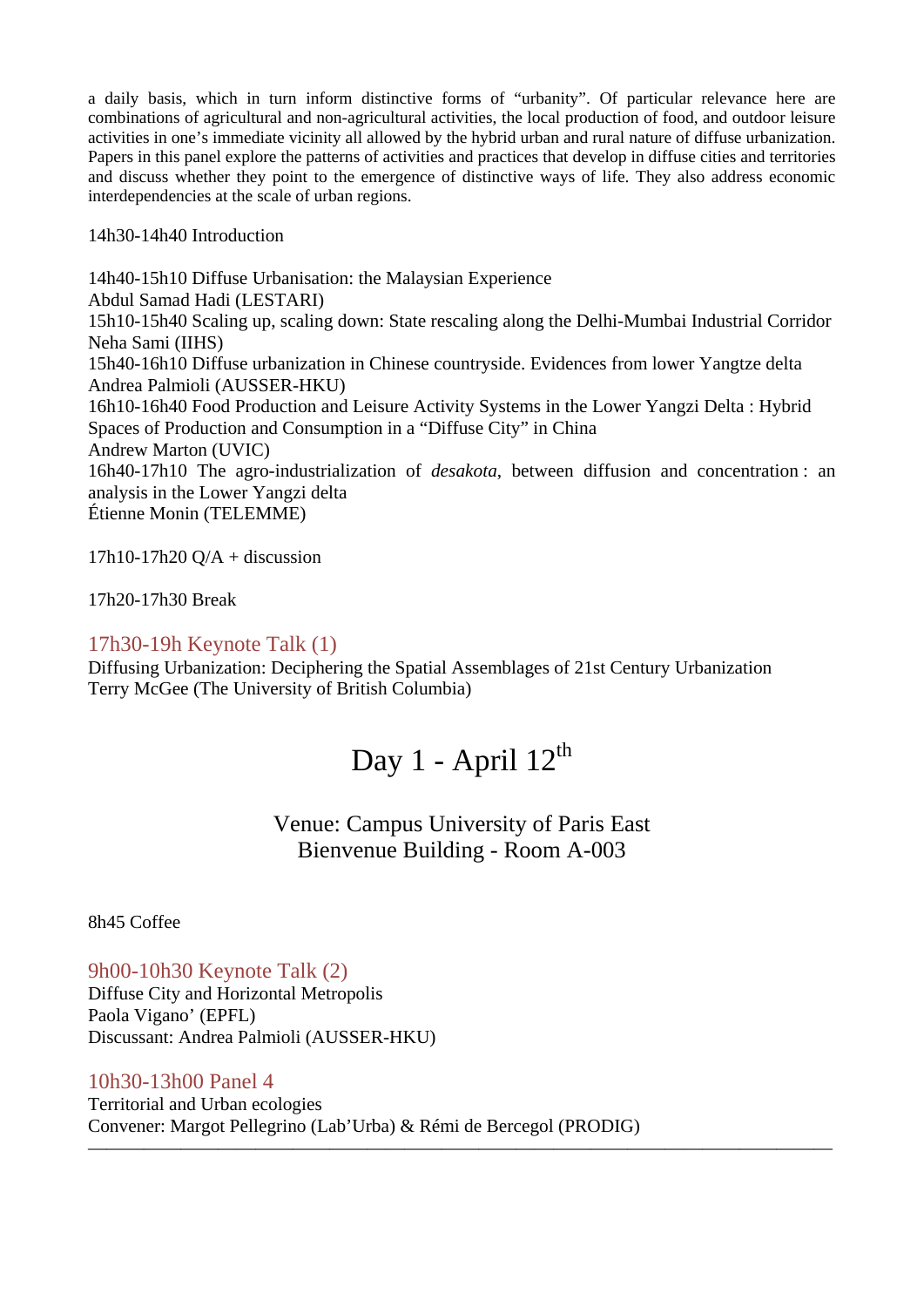a daily basis, which in turn inform distinctive forms of "urbanity". Of particular relevance here are combinations of agricultural and non-agricultural activities, the local production of food, and outdoor leisure activities in one's immediate vicinity all allowed by the hybrid urban and rural nature of diffuse urbanization. Papers in this panel explore the patterns of activities and practices that develop in diffuse cities and territories and discuss whether they point to the emergence of distinctive ways of life. They also address economic interdependencies at the scale of urban regions.

#### 14h30-14h40 Introduction

14h40-15h10 Diffuse Urbanisation: the Malaysian Experience Abdul Samad Hadi (LESTARI) 15h10-15h40 Scaling up, scaling down: State rescaling along the Delhi-Mumbai Industrial Corridor Neha Sami (IIHS) 15h40-16h10 Diffuse urbanization in Chinese countryside. Evidences from lower Yangtze delta Andrea Palmioli (AUSSER-HKU) 16h10-16h40 Food Production and Leisure Activity Systems in the Lower Yangzi Delta : Hybrid Spaces of Production and Consumption in a "Diffuse City" in China Andrew Marton (UVIC) 16h40-17h10 The agro-industrialization of *desakota*, between diffusion and concentration : an analysis in the Lower Yangzi delta Étienne Monin (TELEMME)

 $17h10-17h20$  Q/A + discussion

17h20-17h30 Break

#### 17h30-19h Keynote Talk (1)

Diffusing Urbanization: Deciphering the Spatial Assemblages of 21st Century Urbanization Terry McGee (The University of British Columbia)

## Day 1 - April  $12^{th}$

Venue: Campus University of Paris East Bienvenue Building - Room A-003

————————————————————————————————————————

8h45 Coffee

9h00-10h30 Keynote Talk (2) Diffuse City and Horizontal Metropolis Paola Vigano' (EPFL) Discussant: Andrea Palmioli (AUSSER-HKU)

#### 10h30-13h00 Panel 4

Territorial and Urban ecologies Convener: Margot Pellegrino (Lab'Urba) & Rémi de Bercegol (PRODIG)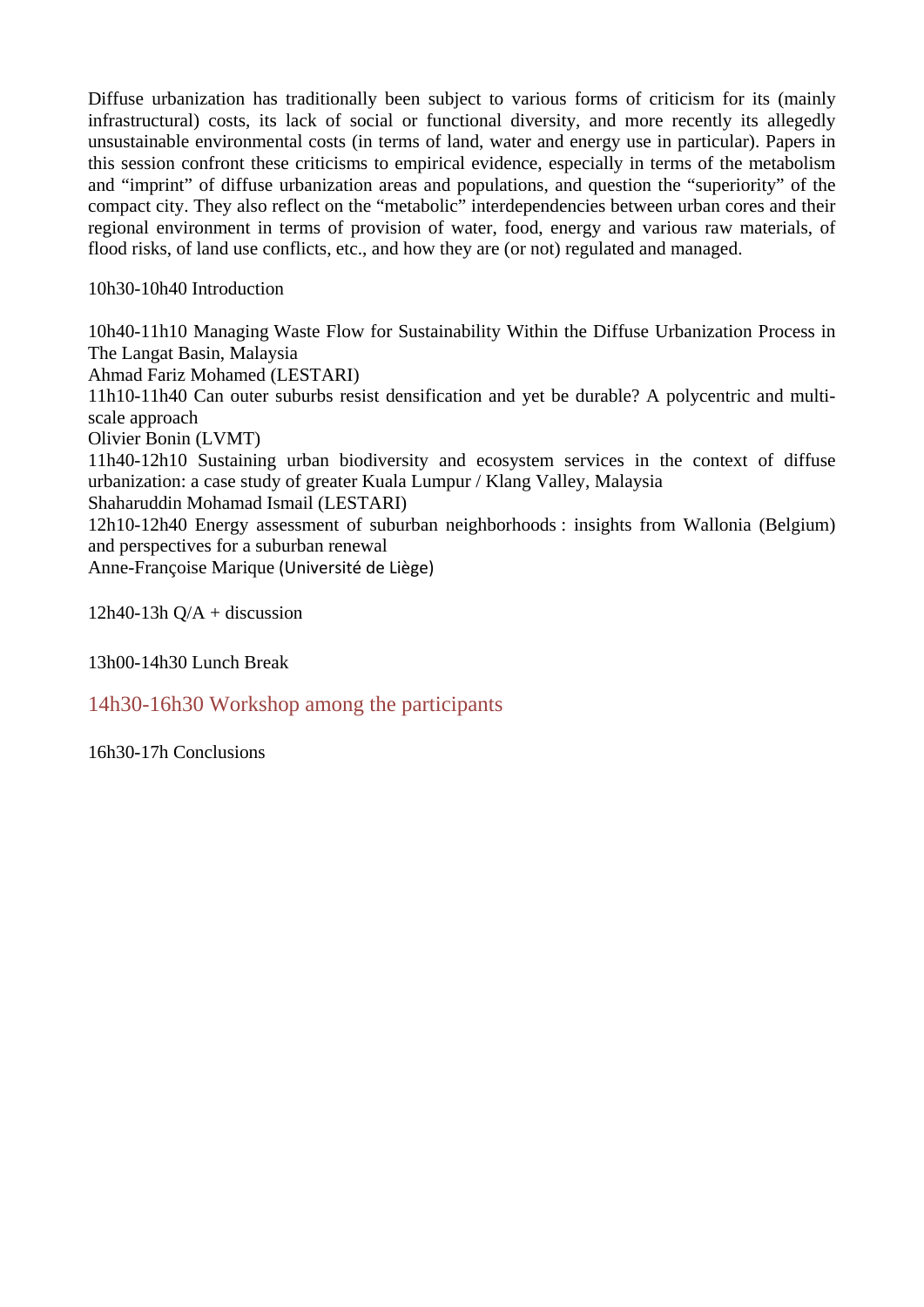Diffuse urbanization has traditionally been subject to various forms of criticism for its (mainly infrastructural) costs, its lack of social or functional diversity, and more recently its allegedly unsustainable environmental costs (in terms of land, water and energy use in particular). Papers in this session confront these criticisms to empirical evidence, especially in terms of the metabolism and "imprint" of diffuse urbanization areas and populations, and question the "superiority" of the compact city. They also reflect on the "metabolic" interdependencies between urban cores and their regional environment in terms of provision of water, food, energy and various raw materials, of flood risks, of land use conflicts, etc., and how they are (or not) regulated and managed.

10h30-10h40 Introduction

10h40-11h10 Managing Waste Flow for Sustainability Within the Diffuse Urbanization Process in The Langat Basin, Malaysia Ahmad Fariz Mohamed (LESTARI) 11h10-11h40 Can outer suburbs resist densification and yet be durable? A polycentric and multiscale approach Olivier Bonin (LVMT) 11h40-12h10 Sustaining urban biodiversity and ecosystem services in the context of diffuse urbanization: a case study of greater Kuala Lumpur / Klang Valley, Malaysia Shaharuddin Mohamad Ismail (LESTARI) 12h10-12h40 Energy assessment of suburban neighborhoods : insights from Wallonia (Belgium) and perspectives for a suburban renewal Anne-Françoise Marique (Université de Liège)

 $12h40-13h Q/A +$  discussion

13h00-14h30 Lunch Break

14h30-16h30 Workshop among the participants

16h30-17h Conclusions